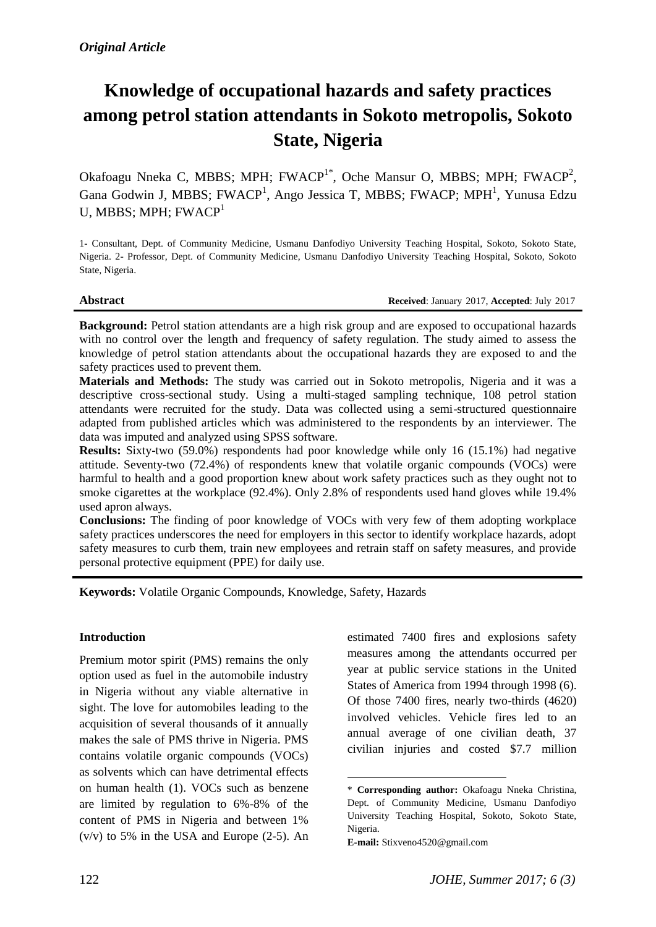# **Knowledge of occupational hazards and safety practices among petrol station attendants in Sokoto metropolis, Sokoto State, Nigeria**

Okafoagu Nneka C, MBBS; MPH; FWACP<sup>1\*</sup>, Oche Mansur O, MBBS; MPH; FWACP<sup>2</sup>, Gana Godwin J, MBBS; FWACP<sup>1</sup>, Ango Jessica T, MBBS; FWACP; MPH<sup>1</sup>, Yunusa Edzu U, MBBS; MPH; FWACP<sup>1</sup>

1- Consultant, Dept. of Community Medicine, Usmanu Danfodiyo University Teaching Hospital, Sokoto, Sokoto State, Nigeria. 2- Professor, Dept. of Community Medicine, Usmanu Danfodiyo University Teaching Hospital, Sokoto, Sokoto State, Nigeria.

**Abstract Received**: January 2017, **Accepted**: July 2017

**Background:** Petrol station attendants are a high risk group and are exposed to occupational hazards with no control over the length and frequency of safety regulation. The study aimed to assess the knowledge of petrol station attendants about the occupational hazards they are exposed to and the safety practices used to prevent them.

**Materials and Methods:** The study was carried out in Sokoto metropolis, Nigeria and it was a descriptive cross-sectional study. Using a multi-staged sampling technique, 108 petrol station attendants were recruited for the study. Data was collected using a semi-structured questionnaire adapted from published articles which was administered to the respondents by an interviewer. The data was imputed and analyzed using SPSS software.

**Results:** Sixty-two (59.0%) respondents had poor knowledge while only 16 (15.1%) had negative attitude. Seventy-two (72.4%) of respondents knew that volatile organic compounds (VOCs) were harmful to health and a good proportion knew about work safety practices such as they ought not to smoke cigarettes at the workplace (92.4%). Only 2.8% of respondents used hand gloves while 19.4% used apron always.

**Conclusions:** The finding of poor knowledge of VOCs with very few of them adopting workplace safety practices underscores the need for employers in this sector to identify workplace hazards, adopt safety measures to curb them, train new employees and retrain staff on safety measures, and provide personal protective equipment (PPE) for daily use.

**.** 

**Keywords:** Volatile Organic Compounds, Knowledge, Safety, Hazards

#### **Introduction**

Premium motor spirit (PMS) remains the only option used as fuel in the automobile industry in Nigeria without any viable alternative in sight. The love for automobiles leading to the acquisition of several thousands of it annually makes the sale of PMS thrive in Nigeria. PMS contains volatile organic compounds (VOCs) as solvents which can have detrimental effects on human health (1). VOCs such as benzene are limited by regulation to 6%-8% of the content of PMS in Nigeria and between 1%  $(v/v)$  to 5% in the USA and Europe (2-5). An estimated 7400 fires and explosions safety measures among the attendants occurred per year at public service stations in the United States of America from 1994 through 1998 (6). Of those 7400 fires, nearly two-thirds (4620) involved vehicles. Vehicle fires led to an annual average of one civilian death, 37 civilian injuries and costed \$7.7 million

<sup>\*</sup> **Corresponding author:** Okafoagu Nneka Christina, Dept. of Community Medicine, Usmanu Danfodiyo University Teaching Hospital, Sokoto, Sokoto State, Nigeria.

**E-mail:** Stixveno4520@gmail.com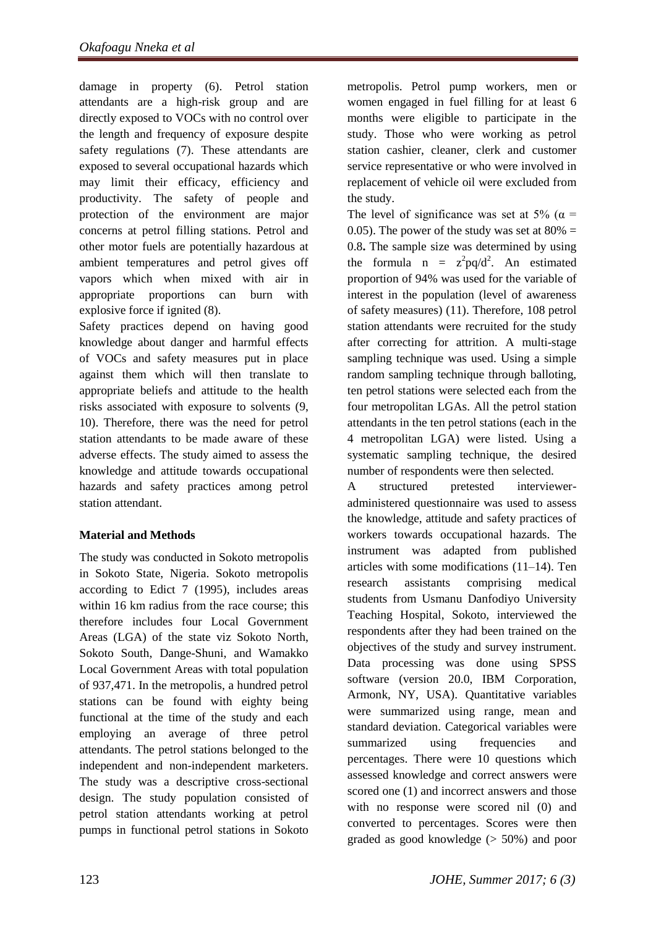damage in property (6). Petrol station attendants are a high-risk group and are directly exposed to VOCs with no control over the length and frequency of exposure despite safety regulations (7). These attendants are exposed to several occupational hazards which may limit their efficacy, efficiency and productivity. The safety of people and protection of the environment are major concerns at petrol filling stations. Petrol and other motor fuels are potentially hazardous at ambient temperatures and petrol gives off vapors which when mixed with air in appropriate proportions can burn with explosive force if ignited (8).

Safety practices depend on having good knowledge about danger and harmful effects of VOCs and safety measures put in place against them which will then translate to appropriate beliefs and attitude to the health risks associated with exposure to solvents (9, 10). Therefore, there was the need for petrol station attendants to be made aware of these adverse effects. The study aimed to assess the knowledge and attitude towards occupational hazards and safety practices among petrol station attendant.

# **Material and Methods**

The study was conducted in Sokoto metropolis in Sokoto State, Nigeria. Sokoto metropolis according to Edict 7 (1995), includes areas within 16 km radius from the race course; this therefore includes four Local Government Areas (LGA) of the state viz Sokoto North, Sokoto South, Dange-Shuni, and Wamakko Local Government Areas with total population of 937,471. In the metropolis, a hundred petrol stations can be found with eighty being functional at the time of the study and each employing an average of three petrol attendants. The petrol stations belonged to the independent and non-independent marketers. The study was a descriptive cross-sectional design. The study population consisted of petrol station attendants working at petrol pumps in functional petrol stations in Sokoto metropolis. Petrol pump workers, men or women engaged in fuel filling for at least 6 months were eligible to participate in the study. Those who were working as petrol station cashier, cleaner, clerk and customer service representative or who were involved in replacement of vehicle oil were excluded from the study.

The level of significance was set at 5% ( $\alpha$  = 0.05). The power of the study was set at  $80\% =$ 0.8**.** The sample size was determined by using the formula  $n = z^2 pq/d^2$ . An estimated proportion of 94% was used for the variable of interest in the population (level of awareness of safety measures) (11). Therefore, 108 petrol station attendants were recruited for the study after correcting for attrition. A multi-stage sampling technique was used. Using a simple random sampling technique through balloting, ten petrol stations were selected each from the four metropolitan LGAs. All the petrol station attendants in the ten petrol stations (each in the 4 metropolitan LGA) were listed. Using a systematic sampling technique, the desired number of respondents were then selected.

A structured pretested intervieweradministered questionnaire was used to assess the knowledge, attitude and safety practices of workers towards occupational hazards. The instrument was adapted from published articles with some modifications (11–14). Ten research assistants comprising medical students from Usmanu Danfodiyo University Teaching Hospital, Sokoto, interviewed the respondents after they had been trained on the objectives of the study and survey instrument. Data processing was done using SPSS software (version 20.0, IBM Corporation, Armonk, NY, USA). Quantitative variables were summarized using range, mean and standard deviation. Categorical variables were summarized using frequencies and percentages. There were 10 questions which assessed knowledge and correct answers were scored one (1) and incorrect answers and those with no response were scored nil (0) and converted to percentages. Scores were then graded as good knowledge (> 50%) and poor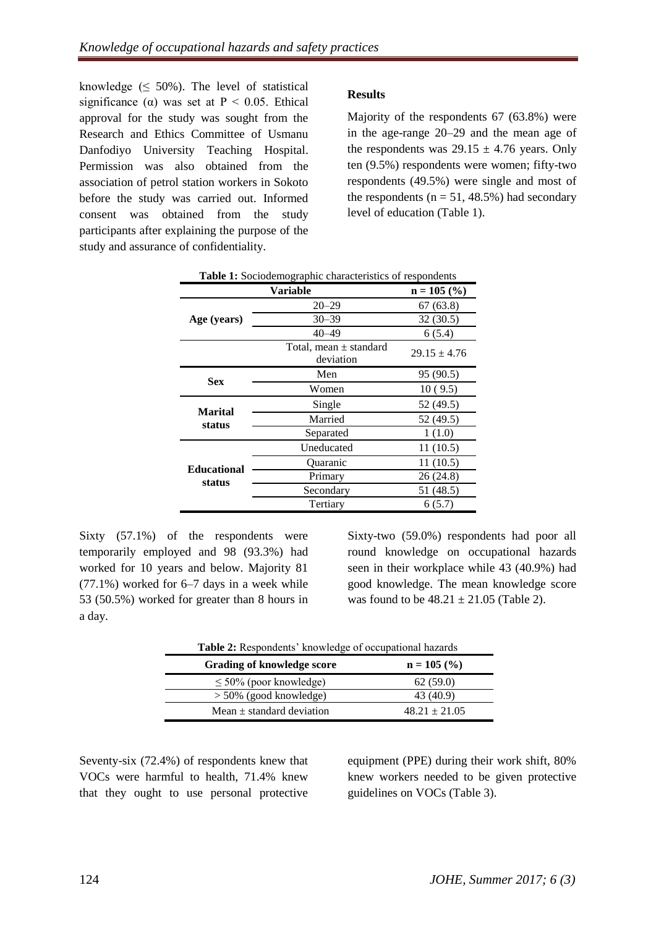knowledge  $( \leq 50\%)$ . The level of statistical significance ( $\alpha$ ) was set at P < 0.05. Ethical approval for the study was sought from the Research and Ethics Committee of Usmanu Danfodiyo University Teaching Hospital. Permission was also obtained from the association of petrol station workers in Sokoto before the study was carried out. Informed consent was obtained from the study participants after explaining the purpose of the study and assurance of confidentiality.

# **Results**

Majority of the respondents 67 (63.8%) were in the age-range 20–29 and the mean age of the respondents was  $29.15 \pm 4.76$  years. Only ten (9.5%) respondents were women; fifty-two respondents (49.5%) were single and most of the respondents ( $n = 51$ , 48.5%) had secondary level of education (Table 1).

| Table 1: Sociodemographic characteristics of respondents |                                         |                  |  |  |
|----------------------------------------------------------|-----------------------------------------|------------------|--|--|
| Variable                                                 |                                         | $n = 105$ (%)    |  |  |
|                                                          | $20 - 29$                               | 67(63.8)         |  |  |
| Age (years)                                              | $30 - 39$                               | 32(30.5)         |  |  |
|                                                          | $40 - 49$                               | 6(5.4)           |  |  |
|                                                          | Total, mean $\pm$ standard<br>deviation | $29.15 \pm 4.76$ |  |  |
| <b>Sex</b>                                               | Men                                     | 95 (90.5)        |  |  |
|                                                          | Women                                   | 10(9.5)          |  |  |
| <b>Marital</b>                                           | Single                                  | 52 (49.5)        |  |  |
| status                                                   | Married                                 | 52 (49.5)        |  |  |
|                                                          | Separated                               | 1(1.0)           |  |  |
|                                                          | Uneducated                              | 11(10.5)         |  |  |
| <b>Educational</b>                                       | Quaranic                                | 11(10.5)         |  |  |
| status                                                   | Primary                                 | 26(24.8)         |  |  |
|                                                          | Secondary                               | 51 (48.5)        |  |  |
|                                                          | Tertiary                                | 6(5.7)           |  |  |

Sixty (57.1%) of the respondents were temporarily employed and 98 (93.3%) had worked for 10 years and below. Majority 81 (77.1%) worked for 6–7 days in a week while 53 (50.5%) worked for greater than 8 hours in a day.

Sixty-two (59.0%) respondents had poor all round knowledge on occupational hazards seen in their workplace while 43 (40.9%) had good knowledge. The mean knowledge score was found to be  $48.21 \pm 21.05$  (Table 2).

| Table 2: Respondents' knowledge of occupational hazards |                   |  |  |  |
|---------------------------------------------------------|-------------------|--|--|--|
| <b>Grading of knowledge score</b>                       | $n = 105$ (%)     |  |  |  |
| $\leq 50\%$ (poor knowledge)                            | 62(59.0)          |  |  |  |
| $> 50\%$ (good knowledge)                               | 43 (40.9)         |  |  |  |
| Mean $\pm$ standard deviation                           | $48.21 \pm 21.05$ |  |  |  |

Seventy-six (72.4%) of respondents knew that VOCs were harmful to health, 71.4% knew that they ought to use personal protective

equipment (PPE) during their work shift, 80% knew workers needed to be given protective guidelines on VOCs (Table 3).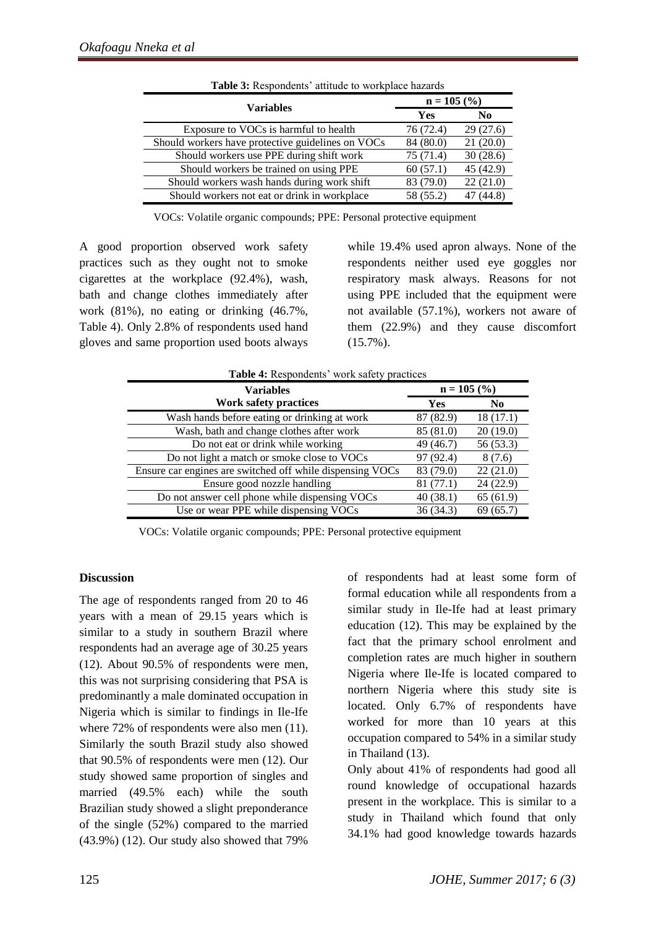|                                                   | $n = 105$ (%) |                |
|---------------------------------------------------|---------------|----------------|
| <b>Variables</b>                                  | <b>Yes</b>    | N <sub>0</sub> |
| Exposure to VOCs is harmful to health             | 76 (72.4)     | 29(27.6)       |
| Should workers have protective guidelines on VOCs | 84 (80.0)     | 21(20.0)       |
| Should workers use PPE during shift work          | 75 (71.4)     | 30(28.6)       |
| Should workers be trained on using PPE            | 60(57.1)      | 45 (42.9)      |
| Should workers wash hands during work shift       | 83 (79.0)     | 22(21.0)       |
| Should workers not eat or drink in workplace      | 58 (55.2)     | 47 (44.8)      |

**Table 3:** Respondents' attitude to workplace hazards

VOCs: Volatile organic compounds; PPE: Personal protective equipment

A good proportion observed work safety practices such as they ought not to smoke cigarettes at the workplace (92.4%), wash, bath and change clothes immediately after work (81%), no eating or drinking (46.7%, Table 4). Only 2.8% of respondents used hand gloves and same proportion used boots always

while 19.4% used apron always. None of the respondents neither used eye goggles nor respiratory mask always. Reasons for not using PPE included that the equipment were not available (57.1%), workers not aware of them (22.9%) and they cause discomfort (15.7%).

| <b>Table 4:</b> Respondents' work safety practices        |               |                |  |  |
|-----------------------------------------------------------|---------------|----------------|--|--|
| <b>Variables</b>                                          | $n = 105$ (%) |                |  |  |
| <b>Work safety practices</b>                              | Yes           | N <sub>0</sub> |  |  |
| Wash hands before eating or drinking at work              | 87 (82.9)     | 18(17.1)       |  |  |
| Wash, bath and change clothes after work                  | 85 (81.0)     | 20(19.0)       |  |  |
| Do not eat or drink while working                         | 49 (46.7)     | 56 (53.3)      |  |  |
| Do not light a match or smoke close to VOCs               | 97 (92.4)     | 8(7.6)         |  |  |
| Ensure car engines are switched off while dispensing VOCs | 83 (79.0)     | 22(21.0)       |  |  |
| Ensure good nozzle handling                               | 81(77.1)      | 24 (22.9)      |  |  |
| Do not answer cell phone while dispensing VOCs            | 40(38.1)      | 65(61.9)       |  |  |
| Use or wear PPE while dispensing VOCs                     | 36 (34.3)     | 69(65.7)       |  |  |

VOCs: Volatile organic compounds; PPE: Personal protective equipment

#### **Discussion**

The age of respondents ranged from 20 to 46 years with a mean of 29.15 years which is similar to a study in southern Brazil where respondents had an average age of 30.25 years (12). About 90.5% of respondents were men, this was not surprising considering that PSA is predominantly a male dominated occupation in Nigeria which is similar to findings in Ile-Ife where 72% of respondents were also men  $(11)$ . Similarly the south Brazil study also showed that 90.5% of respondents were men (12). Our study showed same proportion of singles and married (49.5% each) while the south Brazilian study showed a slight preponderance of the single (52%) compared to the married (43.9%) (12). Our study also showed that 79%

of respondents had at least some form of formal education while all respondents from a similar study in Ile-Ife had at least primary education (12). This may be explained by the fact that the primary school enrolment and completion rates are much higher in southern Nigeria where Ile-Ife is located compared to northern Nigeria where this study site is located. Only 6.7% of respondents have worked for more than 10 years at this occupation compared to 54% in a similar study in Thailand (13).

Only about 41% of respondents had good all round knowledge of occupational hazards present in the workplace. This is similar to a study in Thailand which found that only 34.1% had good knowledge towards hazards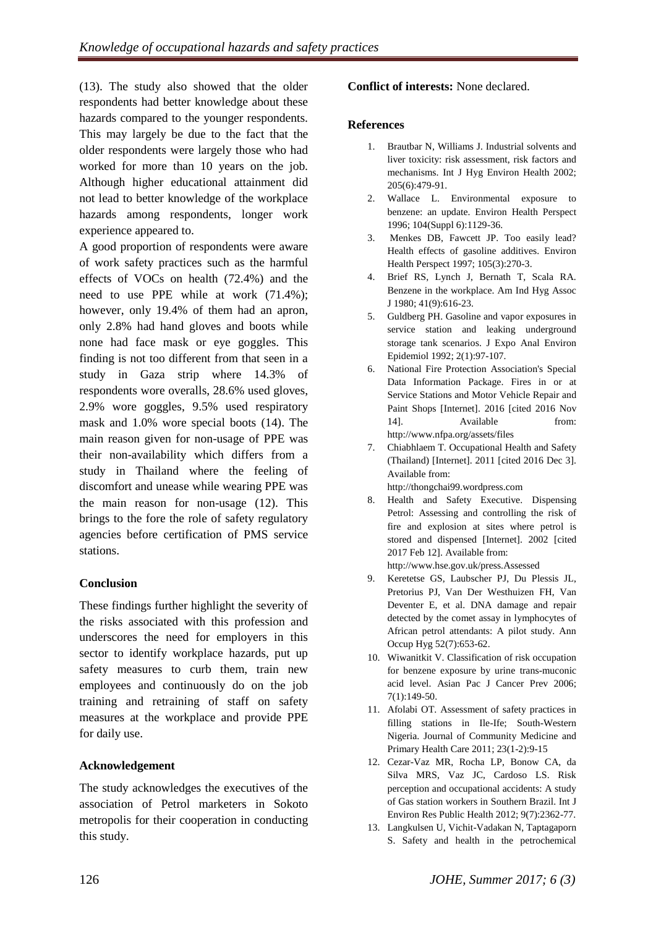(13). The study also showed that the older respondents had better knowledge about these hazards compared to the younger respondents. This may largely be due to the fact that the older respondents were largely those who had worked for more than 10 years on the job. Although higher educational attainment did not lead to better knowledge of the workplace hazards among respondents, longer work experience appeared to.

A good proportion of respondents were aware of work safety practices such as the harmful effects of VOCs on health (72.4%) and the need to use PPE while at work (71.4%); however, only 19.4% of them had an apron, only 2.8% had hand gloves and boots while none had face mask or eye goggles. This finding is not too different from that seen in a study in Gaza strip where 14.3% of respondents wore overalls, 28.6% used gloves, 2.9% wore goggles, 9.5% used respiratory mask and 1.0% wore special boots (14). The main reason given for non-usage of PPE was their non-availability which differs from a study in Thailand where the feeling of discomfort and unease while wearing PPE was the main reason for non-usage (12). This brings to the fore the role of safety regulatory agencies before certification of PMS service stations.

# **Conclusion**

These findings further highlight the severity of the risks associated with this profession and underscores the need for employers in this sector to identify workplace hazards, put up safety measures to curb them, train new employees and continuously do on the job training and retraining of staff on safety measures at the workplace and provide PPE for daily use.

# **Acknowledgement**

The study acknowledges the executives of the association of Petrol marketers in Sokoto metropolis for their cooperation in conducting this study.

### **Conflict of interests:** None declared.

#### **References**

- 1. Brautbar N, Williams J. Industrial solvents and liver toxicity: risk assessment, risk factors and mechanisms. Int J Hyg Environ Health 2002; 205(6):479-91.
- 2. Wallace L. Environmental exposure to benzene: an update. Environ Health Perspect 1996; 104(Suppl 6):1129-36.
- 3. Menkes DB, Fawcett JP. Too easily lead? Health effects of gasoline additives. Environ Health Perspect 1997; 105(3):270-3.
- 4. Brief RS, Lynch J, Bernath T, Scala RA. Benzene in the workplace. Am Ind Hyg Assoc J 1980; 41(9):616-23.
- 5. Guldberg PH. Gasoline and vapor exposures in service station and leaking underground storage tank scenarios. J Expo Anal Environ Epidemiol 1992; 2(1):97-107.
- 6. National Fire Protection Association's Special Data Information Package. Fires in or at Service Stations and Motor Vehicle Repair and Paint Shops [Internet]. 2016 [cited 2016 Nov 14]. Available from: http://www.nfpa.org/assets/files
- 7. Chiabhlaem T. Occupational Health and Safety (Thailand) [Internet]. 2011 [cited 2016 Dec 3]. Available from: [http://thongchai99.wordpress.com](http://thongchai99.wordpress.com/)
- 8. Health and Safety Executive. Dispensing Petrol: Assessing and controlling the risk of fire and explosion at sites where petrol is stored and dispensed [Internet]. 2002 [cited 2017 Feb 12]. Available from:
- <http://www.hse.gov.uk/press.Assessed> 9. Keretetse GS, Laubscher PJ, Du Plessis JL, Pretorius PJ, Van Der Westhuizen FH, Van Deventer E, et al. DNA damage and repair detected by the comet assay in lymphocytes of African petrol attendants: A pilot study. Ann
- Occup Hyg 52(7):653-62. 10. Wiwanitkit V. Classification of risk occupation for benzene exposure by urine trans-muconic acid level. Asian Pac J Cancer Prev 2006; 7(1):149-50.
- 11. Afolabi OT. Assessment of safety practices in filling stations in Ile-Ife; South-Western Nigeria. Journal of Community Medicine and Primary Health Care 2011; 23(1-2):9-15
- 12. Cezar-Vaz MR, Rocha LP, Bonow CA, da Silva MRS, Vaz JC, Cardoso LS. Risk perception and occupational accidents: A study of Gas station workers in Southern Brazil. Int J Environ Res Public Health 2012; 9(7):2362-77.
- 13. Langkulsen U, Vichit-Vadakan N, Taptagaporn S. Safety and health in the petrochemical